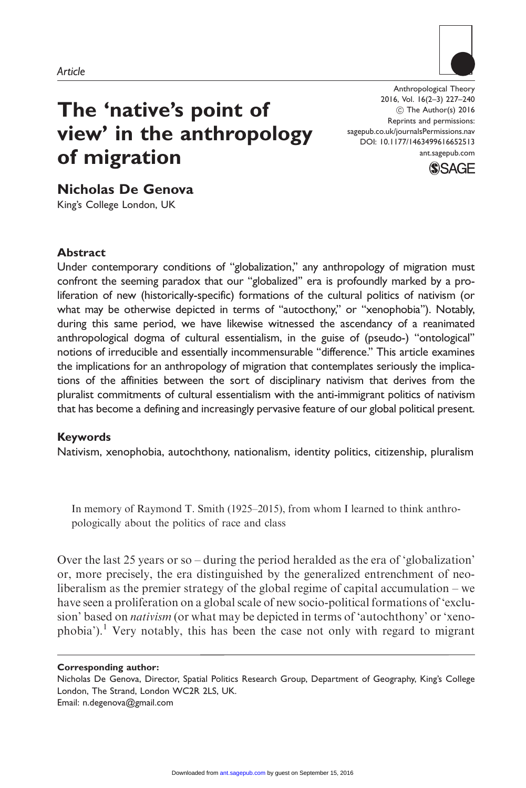

# The 'native's point of view' in the anthropology of migration

Anthropological Theory 2016, Vol. 16(2–3) 227–240 ! The Author(s) 2016 Reprints and permissions: sagepub.co.uk/journalsPermissions.nav DOI: 10.1177/1463499616652513 ant.sagepub.com



Nicholas De Genova

King's College London, UK

## Abstract

Under contemporary conditions of ''globalization,'' any anthropology of migration must confront the seeming paradox that our ''globalized'' era is profoundly marked by a proliferation of new (historically-specific) formations of the cultural politics of nativism (or what may be otherwise depicted in terms of "autocthony," or "xenophobia"). Notably, during this same period, we have likewise witnessed the ascendancy of a reanimated anthropological dogma of cultural essentialism, in the guise of (pseudo-) ''ontological'' notions of irreducible and essentially incommensurable ''difference.'' This article examines the implications for an anthropology of migration that contemplates seriously the implications of the affinities between the sort of disciplinary nativism that derives from the pluralist commitments of cultural essentialism with the anti-immigrant politics of nativism that has become a defining and increasingly pervasive feature of our global political present.

## Keywords

Nativism, xenophobia, autochthony, nationalism, identity politics, citizenship, pluralism

In memory of Raymond T. Smith (1925–2015), from whom I learned to think anthropologically about the politics of race and class

Over the last 25 years or so – during the period heralded as the era of 'globalization' or, more precisely, the era distinguished by the generalized entrenchment of neoliberalism as the premier strategy of the global regime of capital accumulation – we have seen a proliferation on a global scale of new socio-political formations of 'exclusion' based on nativism (or what may be depicted in terms of 'autochthony' or 'xeno $phobia$ <sup>'</sup>).<sup>1</sup> Very notably, this has been the case not only with regard to migrant

#### Corresponding author:

Nicholas De Genova, Director, Spatial Politics Research Group, Department of Geography, King's College London, The Strand, London WC2R 2LS, UK. Email: n.degenova@gmail.com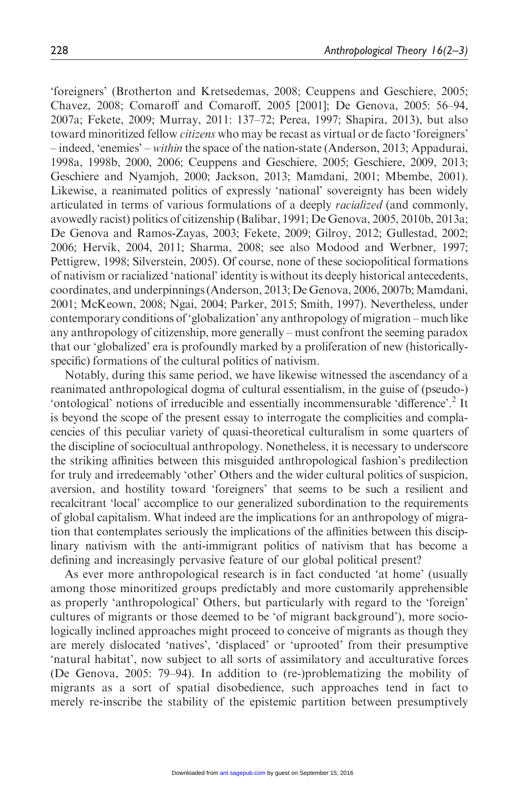'foreigners' (Brotherton and Kretsedemas, 2008; Ceuppens and Geschiere, 2005; Chavez, 2008; Comaroff and Comaroff, 2005 [2001]; De Genova, 2005: 56–94, 2007a; Fekete, 2009; Murray, 2011: 137–72; Perea, 1997; Shapira, 2013), but also toward minoritized fellow citizens who may be recast as virtual or de facto 'foreigners' – indeed, 'enemies' – within the space of the nation-state (Anderson, 2013; Appadurai, 1998a, 1998b, 2000, 2006; Ceuppens and Geschiere, 2005; Geschiere, 2009, 2013; Geschiere and Nyamjoh, 2000; Jackson, 2013; Mamdani, 2001; Mbembe, 2001). Likewise, a reanimated politics of expressly 'national' sovereignty has been widely articulated in terms of various formulations of a deeply racialized (and commonly, avowedly racist) politics of citizenship (Balibar, 1991; De Genova, 2005, 2010b, 2013a; De Genova and Ramos-Zayas, 2003; Fekete, 2009; Gilroy, 2012; Gullestad, 2002; 2006; Hervik, 2004, 2011; Sharma, 2008; see also Modood and Werbner, 1997; Pettigrew, 1998; Silverstein, 2005). Of course, none of these sociopolitical formations of nativism or racialized 'national' identity is without its deeply historical antecedents, coordinates, and underpinnings (Anderson, 2013; De Genova, 2006, 2007b;Mamdani, 2001; McKeown, 2008; Ngai, 2004; Parker, 2015; Smith, 1997). Nevertheless, under contemporary conditions of 'globalization' any anthropology of migration – much like any anthropology of citizenship, more generally – must confront the seeming paradox that our 'globalized' era is profoundly marked by a proliferation of new (historicallyspecific) formations of the cultural politics of nativism.

Notably, during this same period, we have likewise witnessed the ascendancy of a reanimated anthropological dogma of cultural essentialism, in the guise of (pseudo-) 'ontological' notions of irreducible and essentially incommensurable 'difference'.2 It is beyond the scope of the present essay to interrogate the complicities and complacencies of this peculiar variety of quasi-theoretical culturalism in some quarters of the discipline of sociocultual anthropology. Nonetheless, it is necessary to underscore the striking affinities between this misguided anthropological fashion's predilection for truly and irredeemably 'other' Others and the wider cultural politics of suspicion, aversion, and hostility toward 'foreigners' that seems to be such a resilient and recalcitrant 'local' accomplice to our generalized subordination to the requirements of global capitalism. What indeed are the implications for an anthropology of migration that contemplates seriously the implications of the affinities between this disciplinary nativism with the anti-immigrant politics of nativism that has become a defining and increasingly pervasive feature of our global political present?

As ever more anthropological research is in fact conducted 'at home' (usually among those minoritized groups predictably and more customarily apprehensible as properly 'anthropological' Others, but particularly with regard to the 'foreign' cultures of migrants or those deemed to be 'of migrant background'), more sociologically inclined approaches might proceed to conceive of migrants as though they are merely dislocated 'natives', 'displaced' or 'uprooted' from their presumptive 'natural habitat', now subject to all sorts of assimilatory and acculturative forces (De Genova, 2005: 79–94). In addition to (re-)problematizing the mobility of migrants as a sort of spatial disobedience, such approaches tend in fact to merely re-inscribe the stability of the epistemic partition between presumptively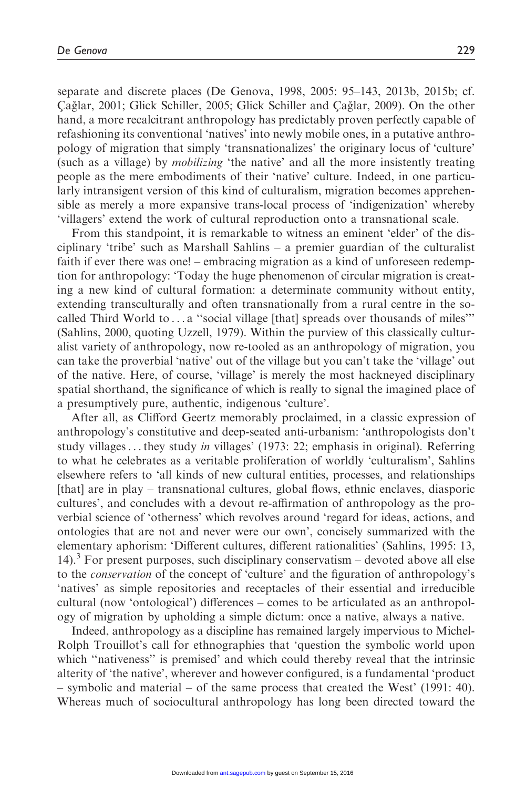separate and discrete places (De Genova, 1998, 2005: 95–143, 2013b, 2015b; cf. Cağlar, 2001; Glick Schiller, 2005; Glick Schiller and Cağlar, 2009). On the other hand, a more recalcitrant anthropology has predictably proven perfectly capable of refashioning its conventional 'natives' into newly mobile ones, in a putative anthropology of migration that simply 'transnationalizes' the originary locus of 'culture' (such as a village) by mobilizing 'the native' and all the more insistently treating people as the mere embodiments of their 'native' culture. Indeed, in one particularly intransigent version of this kind of culturalism, migration becomes apprehensible as merely a more expansive trans-local process of 'indigenization' whereby 'villagers' extend the work of cultural reproduction onto a transnational scale.

From this standpoint, it is remarkable to witness an eminent 'elder' of the disciplinary 'tribe' such as Marshall Sahlins – a premier guardian of the culturalist faith if ever there was one! – embracing migration as a kind of unforeseen redemption for anthropology: 'Today the huge phenomenon of circular migration is creating a new kind of cultural formation: a determinate community without entity, extending transculturally and often transnationally from a rural centre in the socalled Third World to ... a ''social village [that] spreads over thousands of miles''' (Sahlins, 2000, quoting Uzzell, 1979). Within the purview of this classically culturalist variety of anthropology, now re-tooled as an anthropology of migration, you can take the proverbial 'native' out of the village but you can't take the 'village' out of the native. Here, of course, 'village' is merely the most hackneyed disciplinary spatial shorthand, the significance of which is really to signal the imagined place of a presumptively pure, authentic, indigenous 'culture'.

After all, as Clifford Geertz memorably proclaimed, in a classic expression of anthropology's constitutive and deep-seated anti-urbanism: 'anthropologists don't study villages... they study in villages' (1973: 22; emphasis in original). Referring to what he celebrates as a veritable proliferation of worldly 'culturalism', Sahlins elsewhere refers to 'all kinds of new cultural entities, processes, and relationships [that] are in play – transnational cultures, global flows, ethnic enclaves, diasporic cultures', and concludes with a devout re-affirmation of anthropology as the proverbial science of 'otherness' which revolves around 'regard for ideas, actions, and ontologies that are not and never were our own', concisely summarized with the elementary aphorism: 'Different cultures, different rationalities' (Sahlins, 1995: 13,  $14$ ).<sup>3</sup> For present purposes, such disciplinary conservatism – devoted above all else to the conservation of the concept of 'culture' and the figuration of anthropology's 'natives' as simple repositories and receptacles of their essential and irreducible cultural (now 'ontological') differences – comes to be articulated as an anthropology of migration by upholding a simple dictum: once a native, always a native.

Indeed, anthropology as a discipline has remained largely impervious to Michel-Rolph Trouillot's call for ethnographies that 'question the symbolic world upon which "nativeness" is premised' and which could thereby reveal that the intrinsic alterity of 'the native', wherever and however configured, is a fundamental 'product – symbolic and material – of the same process that created the West' (1991: 40). Whereas much of sociocultural anthropology has long been directed toward the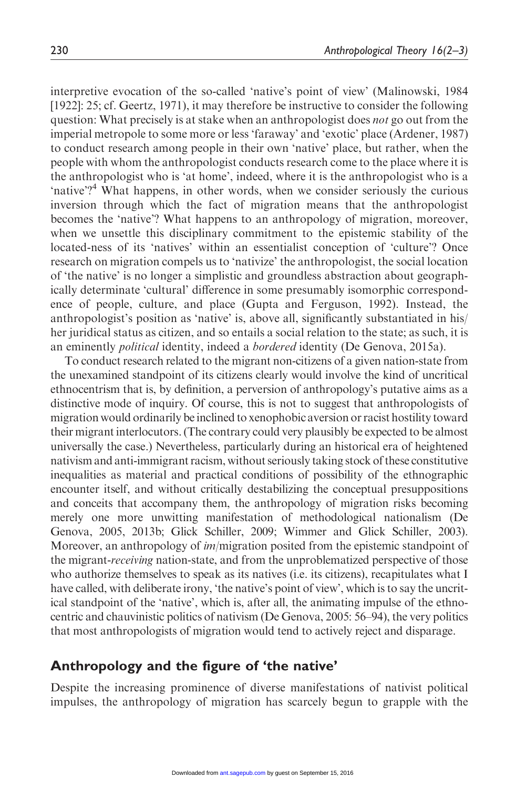interpretive evocation of the so-called 'native's point of view' (Malinowski, 1984 [1922]: 25; cf. Geertz, 1971), it may therefore be instructive to consider the following question: What precisely is at stake when an anthropologist does not go out from the imperial metropole to some more or less 'faraway' and 'exotic' place (Ardener, 1987) to conduct research among people in their own 'native' place, but rather, when the people with whom the anthropologist conducts research come to the place where it is the anthropologist who is 'at home', indeed, where it is the anthropologist who is a 'native'?<sup>4</sup> What happens, in other words, when we consider seriously the curious inversion through which the fact of migration means that the anthropologist becomes the 'native'? What happens to an anthropology of migration, moreover, when we unsettle this disciplinary commitment to the epistemic stability of the located-ness of its 'natives' within an essentialist conception of 'culture'? Once research on migration compels us to 'nativize' the anthropologist, the social location of 'the native' is no longer a simplistic and groundless abstraction about geographically determinate 'cultural' difference in some presumably isomorphic correspondence of people, culture, and place (Gupta and Ferguson, 1992). Instead, the anthropologist's position as 'native' is, above all, significantly substantiated in his/ her juridical status as citizen, and so entails a social relation to the state; as such, it is an eminently *political* identity, indeed a *bordered* identity (De Genova, 2015a).

To conduct research related to the migrant non-citizens of a given nation-state from the unexamined standpoint of its citizens clearly would involve the kind of uncritical ethnocentrism that is, by definition, a perversion of anthropology's putative aims as a distinctive mode of inquiry. Of course, this is not to suggest that anthropologists of migration would ordinarily be inclined to xenophobic aversion or racist hostility toward their migrant interlocutors. (The contrary could very plausibly be expected to be almost universally the case.) Nevertheless, particularly during an historical era of heightened nativism and anti-immigrant racism, without seriously taking stock of these constitutive inequalities as material and practical conditions of possibility of the ethnographic encounter itself, and without critically destabilizing the conceptual presuppositions and conceits that accompany them, the anthropology of migration risks becoming merely one more unwitting manifestation of methodological nationalism (De Genova, 2005, 2013b; Glick Schiller, 2009; Wimmer and Glick Schiller, 2003). Moreover, an anthropology of *im*/migration posited from the epistemic standpoint of the migrant-*receiving* nation-state, and from the unproblematized perspective of those who authorize themselves to speak as its natives (i.e. its citizens), recapitulates what I have called, with deliberate irony, 'the native's point of view', which is to say the uncritical standpoint of the 'native', which is, after all, the animating impulse of the ethnocentric and chauvinistic politics of nativism (De Genova, 2005: 56–94), the very politics that most anthropologists of migration would tend to actively reject and disparage.

## Anthropology and the figure of 'the native'

Despite the increasing prominence of diverse manifestations of nativist political impulses, the anthropology of migration has scarcely begun to grapple with the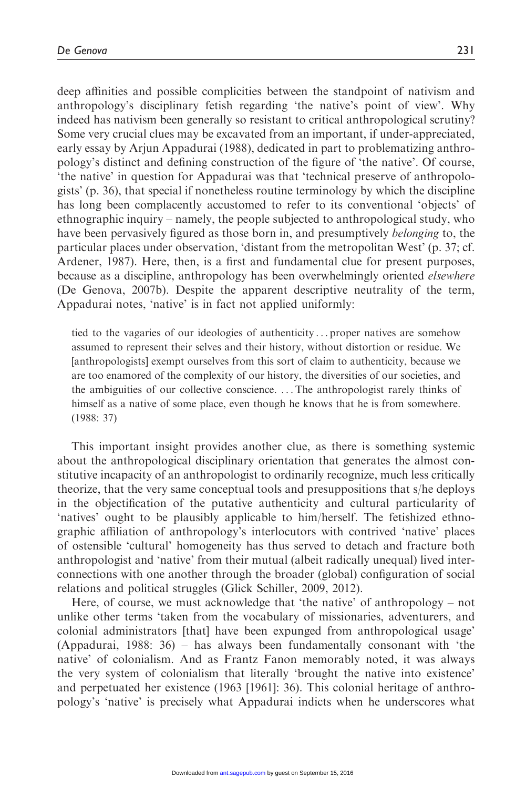deep affinities and possible complicities between the standpoint of nativism and anthropology's disciplinary fetish regarding 'the native's point of view'. Why indeed has nativism been generally so resistant to critical anthropological scrutiny? Some very crucial clues may be excavated from an important, if under-appreciated, early essay by Arjun Appadurai (1988), dedicated in part to problematizing anthropology's distinct and defining construction of the figure of 'the native'. Of course, 'the native' in question for Appadurai was that 'technical preserve of anthropologists' (p. 36), that special if nonetheless routine terminology by which the discipline has long been complacently accustomed to refer to its conventional 'objects' of ethnographic inquiry – namely, the people subjected to anthropological study, who have been pervasively figured as those born in, and presumptively belonging to, the particular places under observation, 'distant from the metropolitan West' (p. 37; cf. Ardener, 1987). Here, then, is a first and fundamental clue for present purposes, because as a discipline, anthropology has been overwhelmingly oriented elsewhere (De Genova, 2007b). Despite the apparent descriptive neutrality of the term, Appadurai notes, 'native' is in fact not applied uniformly:

tied to the vagaries of our ideologies of authenticity ... proper natives are somehow assumed to represent their selves and their history, without distortion or residue. We [anthropologists] exempt ourselves from this sort of claim to authenticity, because we are too enamored of the complexity of our history, the diversities of our societies, and the ambiguities of our collective conscience. ... The anthropologist rarely thinks of himself as a native of some place, even though he knows that he is from somewhere. (1988: 37)

This important insight provides another clue, as there is something systemic about the anthropological disciplinary orientation that generates the almost constitutive incapacity of an anthropologist to ordinarily recognize, much less critically theorize, that the very same conceptual tools and presuppositions that s/he deploys in the objectification of the putative authenticity and cultural particularity of 'natives' ought to be plausibly applicable to him/herself. The fetishized ethnographic affiliation of anthropology's interlocutors with contrived 'native' places of ostensible 'cultural' homogeneity has thus served to detach and fracture both anthropologist and 'native' from their mutual (albeit radically unequal) lived interconnections with one another through the broader (global) configuration of social relations and political struggles (Glick Schiller, 2009, 2012).

Here, of course, we must acknowledge that 'the native' of anthropology – not unlike other terms 'taken from the vocabulary of missionaries, adventurers, and colonial administrators [that] have been expunged from anthropological usage' (Appadurai, 1988: 36) – has always been fundamentally consonant with 'the native' of colonialism. And as Frantz Fanon memorably noted, it was always the very system of colonialism that literally 'brought the native into existence' and perpetuated her existence (1963 [1961]: 36). This colonial heritage of anthropology's 'native' is precisely what Appadurai indicts when he underscores what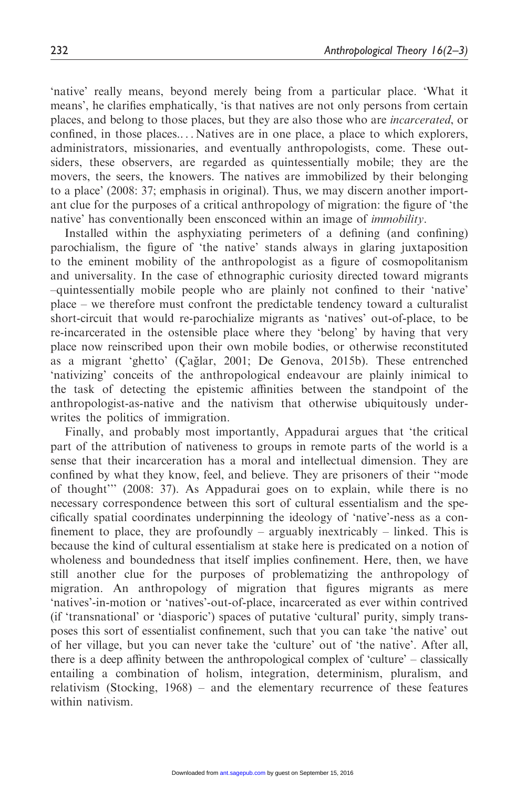'native' really means, beyond merely being from a particular place. 'What it means', he clarifies emphatically, 'is that natives are not only persons from certain places, and belong to those places, but they are also those who are incarcerated, or confined, in those places.... Natives are in one place, a place to which explorers, administrators, missionaries, and eventually anthropologists, come. These outsiders, these observers, are regarded as quintessentially mobile; they are the movers, the seers, the knowers. The natives are immobilized by their belonging to a place' (2008: 37; emphasis in original). Thus, we may discern another important clue for the purposes of a critical anthropology of migration: the figure of 'the native' has conventionally been ensconced within an image of *immobility*.

Installed within the asphyxiating perimeters of a defining (and confining) parochialism, the figure of 'the native' stands always in glaring juxtaposition to the eminent mobility of the anthropologist as a figure of cosmopolitanism and universality. In the case of ethnographic curiosity directed toward migrants –quintessentially mobile people who are plainly not confined to their 'native' place – we therefore must confront the predictable tendency toward a culturalist short-circuit that would re-parochialize migrants as 'natives' out-of-place, to be re-incarcerated in the ostensible place where they 'belong' by having that very place now reinscribed upon their own mobile bodies, or otherwise reconstituted as a migrant 'ghetto' (Çağlar, 2001; De Genova, 2015b). These entrenched 'nativizing' conceits of the anthropological endeavour are plainly inimical to the task of detecting the epistemic affinities between the standpoint of the anthropologist-as-native and the nativism that otherwise ubiquitously underwrites the politics of immigration.

Finally, and probably most importantly, Appadurai argues that 'the critical part of the attribution of nativeness to groups in remote parts of the world is a sense that their incarceration has a moral and intellectual dimension. They are confined by what they know, feel, and believe. They are prisoners of their ''mode of thought''' (2008: 37). As Appadurai goes on to explain, while there is no necessary correspondence between this sort of cultural essentialism and the specifically spatial coordinates underpinning the ideology of 'native'-ness as a confinement to place, they are profoundly – arguably inextricably – linked. This is because the kind of cultural essentialism at stake here is predicated on a notion of wholeness and boundedness that itself implies confinement. Here, then, we have still another clue for the purposes of problematizing the anthropology of migration. An anthropology of migration that figures migrants as mere 'natives'-in-motion or 'natives'-out-of-place, incarcerated as ever within contrived (if 'transnational' or 'diasporic') spaces of putative 'cultural' purity, simply transposes this sort of essentialist confinement, such that you can take 'the native' out of her village, but you can never take the 'culture' out of 'the native'. After all, there is a deep affinity between the anthropological complex of 'culture' – classically entailing a combination of holism, integration, determinism, pluralism, and relativism (Stocking, 1968) – and the elementary recurrence of these features within nativism.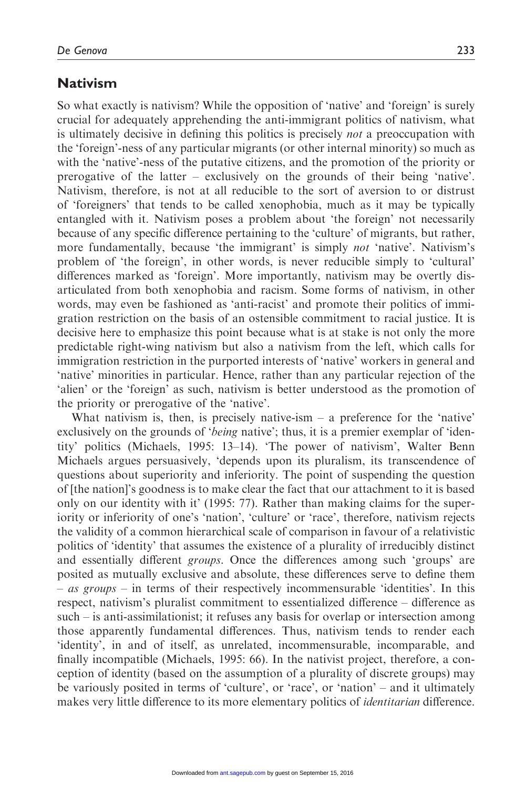# Nativism

So what exactly is nativism? While the opposition of 'native' and 'foreign' is surely crucial for adequately apprehending the anti-immigrant politics of nativism, what is ultimately decisive in defining this politics is precisely *not* a preoccupation with the 'foreign'-ness of any particular migrants (or other internal minority) so much as with the 'native'-ness of the putative citizens, and the promotion of the priority or prerogative of the latter – exclusively on the grounds of their being 'native'. Nativism, therefore, is not at all reducible to the sort of aversion to or distrust of 'foreigners' that tends to be called xenophobia, much as it may be typically entangled with it. Nativism poses a problem about 'the foreign' not necessarily because of any specific difference pertaining to the 'culture' of migrants, but rather, more fundamentally, because 'the immigrant' is simply not 'native'. Nativism's problem of 'the foreign', in other words, is never reducible simply to 'cultural' differences marked as 'foreign'. More importantly, nativism may be overtly disarticulated from both xenophobia and racism. Some forms of nativism, in other words, may even be fashioned as 'anti-racist' and promote their politics of immigration restriction on the basis of an ostensible commitment to racial justice. It is decisive here to emphasize this point because what is at stake is not only the more predictable right-wing nativism but also a nativism from the left, which calls for immigration restriction in the purported interests of 'native' workers in general and 'native' minorities in particular. Hence, rather than any particular rejection of the 'alien' or the 'foreign' as such, nativism is better understood as the promotion of the priority or prerogative of the 'native'.

What nativism is, then, is precisely native-ism  $-$  a preference for the 'native' exclusively on the grounds of '*being* native'; thus, it is a premier exemplar of 'identity' politics (Michaels, 1995: 13–14). 'The power of nativism', Walter Benn Michaels argues persuasively, 'depends upon its pluralism, its transcendence of questions about superiority and inferiority. The point of suspending the question of [the nation]'s goodness is to make clear the fact that our attachment to it is based only on our identity with it' (1995: 77). Rather than making claims for the superiority or inferiority of one's 'nation', 'culture' or 'race', therefore, nativism rejects the validity of a common hierarchical scale of comparison in favour of a relativistic politics of 'identity' that assumes the existence of a plurality of irreducibly distinct and essentially different groups. Once the differences among such 'groups' are posited as mutually exclusive and absolute, these differences serve to define them – as groups – in terms of their respectively incommensurable 'identities'. In this respect, nativism's pluralist commitment to essentialized difference – difference as such – is anti-assimilationist; it refuses any basis for overlap or intersection among those apparently fundamental differences. Thus, nativism tends to render each 'identity', in and of itself, as unrelated, incommensurable, incomparable, and finally incompatible (Michaels, 1995: 66). In the nativist project, therefore, a conception of identity (based on the assumption of a plurality of discrete groups) may be variously posited in terms of 'culture', or 'race', or 'nation' – and it ultimately makes very little difference to its more elementary politics of identitarian difference.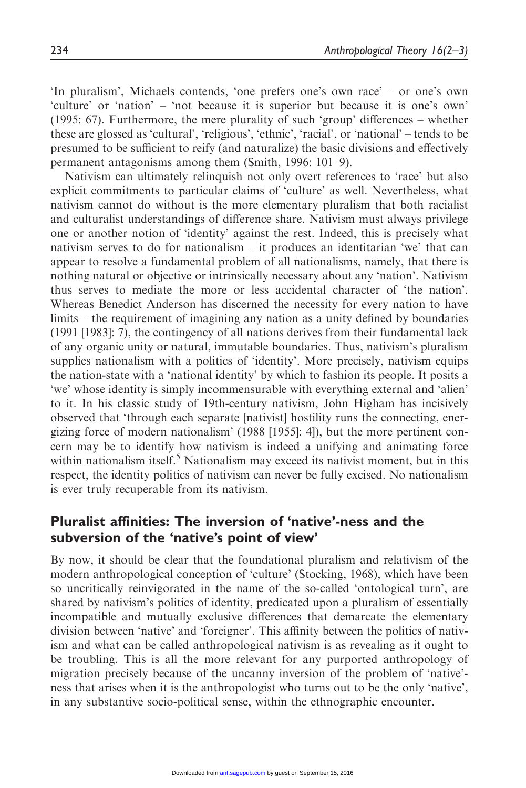'In pluralism', Michaels contends, 'one prefers one's own race' – or one's own 'culture' or 'nation' – 'not because it is superior but because it is one's own' (1995: 67). Furthermore, the mere plurality of such 'group' differences – whether these are glossed as 'cultural', 'religious', 'ethnic', 'racial', or 'national' – tends to be presumed to be sufficient to reify (and naturalize) the basic divisions and effectively permanent antagonisms among them (Smith, 1996: 101–9).

Nativism can ultimately relinquish not only overt references to 'race' but also explicit commitments to particular claims of 'culture' as well. Nevertheless, what nativism cannot do without is the more elementary pluralism that both racialist and culturalist understandings of difference share. Nativism must always privilege one or another notion of 'identity' against the rest. Indeed, this is precisely what nativism serves to do for nationalism – it produces an identitarian 'we' that can appear to resolve a fundamental problem of all nationalisms, namely, that there is nothing natural or objective or intrinsically necessary about any 'nation'. Nativism thus serves to mediate the more or less accidental character of 'the nation'. Whereas Benedict Anderson has discerned the necessity for every nation to have limits – the requirement of imagining any nation as a unity defined by boundaries (1991 [1983]: 7), the contingency of all nations derives from their fundamental lack of any organic unity or natural, immutable boundaries. Thus, nativism's pluralism supplies nationalism with a politics of 'identity'. More precisely, nativism equips the nation-state with a 'national identity' by which to fashion its people. It posits a 'we' whose identity is simply incommensurable with everything external and 'alien' to it. In his classic study of 19th-century nativism, John Higham has incisively observed that 'through each separate [nativist] hostility runs the connecting, energizing force of modern nationalism' (1988 [1955]: 4]), but the more pertinent concern may be to identify how nativism is indeed a unifying and animating force within nationalism itself.<sup>5</sup> Nationalism may exceed its nativist moment, but in this respect, the identity politics of nativism can never be fully excised. No nationalism is ever truly recuperable from its nativism.

# Pluralist affinities: The inversion of 'native'-ness and the subversion of the 'native's point of view'

By now, it should be clear that the foundational pluralism and relativism of the modern anthropological conception of 'culture' (Stocking, 1968), which have been so uncritically reinvigorated in the name of the so-called 'ontological turn', are shared by nativism's politics of identity, predicated upon a pluralism of essentially incompatible and mutually exclusive differences that demarcate the elementary division between 'native' and 'foreigner'. This affinity between the politics of nativism and what can be called anthropological nativism is as revealing as it ought to be troubling. This is all the more relevant for any purported anthropology of migration precisely because of the uncanny inversion of the problem of 'native' ness that arises when it is the anthropologist who turns out to be the only 'native', in any substantive socio-political sense, within the ethnographic encounter.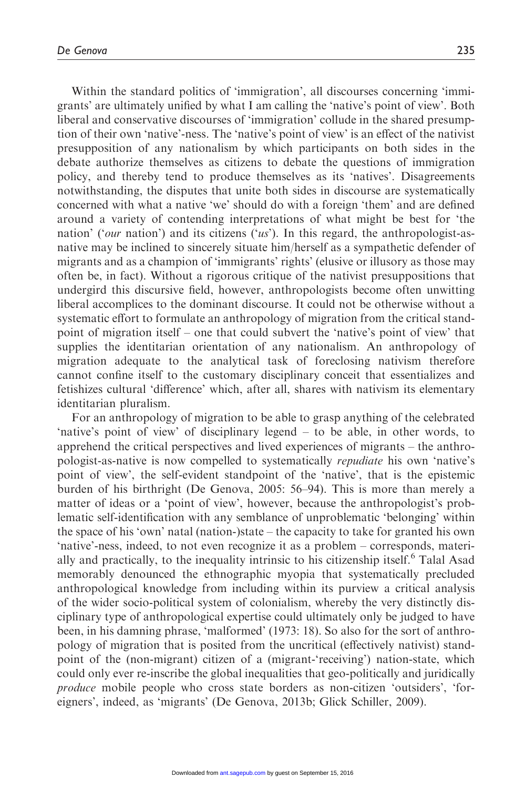Within the standard politics of 'immigration', all discourses concerning 'immigrants' are ultimately unified by what I am calling the 'native's point of view'. Both liberal and conservative discourses of 'immigration' collude in the shared presumption of their own 'native'-ness. The 'native's point of view' is an effect of the nativist presupposition of any nationalism by which participants on both sides in the debate authorize themselves as citizens to debate the questions of immigration policy, and thereby tend to produce themselves as its 'natives'. Disagreements notwithstanding, the disputes that unite both sides in discourse are systematically concerned with what a native 'we' should do with a foreign 'them' and are defined around a variety of contending interpretations of what might be best for 'the nation' ('*our* nation') and its citizens ('*us*'). In this regard, the anthropologist-asnative may be inclined to sincerely situate him/herself as a sympathetic defender of migrants and as a champion of 'immigrants' rights' (elusive or illusory as those may often be, in fact). Without a rigorous critique of the nativist presuppositions that undergird this discursive field, however, anthropologists become often unwitting liberal accomplices to the dominant discourse. It could not be otherwise without a systematic effort to formulate an anthropology of migration from the critical standpoint of migration itself – one that could subvert the 'native's point of view' that supplies the identitarian orientation of any nationalism. An anthropology of migration adequate to the analytical task of foreclosing nativism therefore cannot confine itself to the customary disciplinary conceit that essentializes and fetishizes cultural 'difference' which, after all, shares with nativism its elementary identitarian pluralism.

For an anthropology of migration to be able to grasp anything of the celebrated 'native's point of view' of disciplinary legend – to be able, in other words, to apprehend the critical perspectives and lived experiences of migrants – the anthropologist-as-native is now compelled to systematically repudiate his own 'native's point of view', the self-evident standpoint of the 'native', that is the epistemic burden of his birthright (De Genova, 2005: 56–94). This is more than merely a matter of ideas or a 'point of view', however, because the anthropologist's problematic self-identification with any semblance of unproblematic 'belonging' within the space of his 'own' natal (nation-)state – the capacity to take for granted his own 'native'-ness, indeed, to not even recognize it as a problem – corresponds, materially and practically, to the inequality intrinsic to his citizenship itself.<sup>6</sup> Talal Asad memorably denounced the ethnographic myopia that systematically precluded anthropological knowledge from including within its purview a critical analysis of the wider socio-political system of colonialism, whereby the very distinctly disciplinary type of anthropological expertise could ultimately only be judged to have been, in his damning phrase, 'malformed' (1973: 18). So also for the sort of anthropology of migration that is posited from the uncritical (effectively nativist) standpoint of the (non-migrant) citizen of a (migrant-'receiving') nation-state, which could only ever re-inscribe the global inequalities that geo-politically and juridically produce mobile people who cross state borders as non-citizen 'outsiders', 'foreigners', indeed, as 'migrants' (De Genova, 2013b; Glick Schiller, 2009).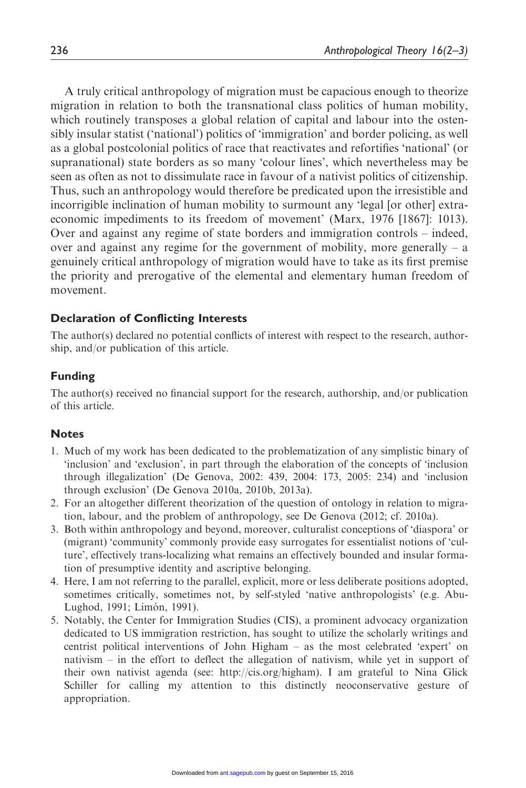A truly critical anthropology of migration must be capacious enough to theorize migration in relation to both the transnational class politics of human mobility, which routinely transposes a global relation of capital and labour into the ostensibly insular statist ('national') politics of 'immigration' and border policing, as well as a global postcolonial politics of race that reactivates and refortifies 'national' (or supranational) state borders as so many 'colour lines', which nevertheless may be seen as often as not to dissimulate race in favour of a nativist politics of citizenship. Thus, such an anthropology would therefore be predicated upon the irresistible and incorrigible inclination of human mobility to surmount any 'legal [or other] extraeconomic impediments to its freedom of movement' (Marx, 1976 [1867]: 1013). Over and against any regime of state borders and immigration controls – indeed, over and against any regime for the government of mobility, more generally  $- a$ genuinely critical anthropology of migration would have to take as its first premise the priority and prerogative of the elemental and elementary human freedom of movement.

### Declaration of Conflicting Interests

The author(s) declared no potential conflicts of interest with respect to the research, authorship, and/or publication of this article.

## Funding

The author(s) received no financial support for the research, authorship, and/or publication of this article.

### **Notes**

- 1. Much of my work has been dedicated to the problematization of any simplistic binary of 'inclusion' and 'exclusion', in part through the elaboration of the concepts of 'inclusion through illegalization' (De Genova, 2002: 439, 2004: 173, 2005: 234) and 'inclusion through exclusion' (De Genova 2010a, 2010b, 2013a).
- 2. For an altogether different theorization of the question of ontology in relation to migration, labour, and the problem of anthropology, see De Genova (2012; cf. 2010a).
- 3. Both within anthropology and beyond, moreover, culturalist conceptions of 'diaspora' or (migrant) 'community' commonly provide easy surrogates for essentialist notions of 'culture', effectively trans-localizing what remains an effectively bounded and insular formation of presumptive identity and ascriptive belonging.
- 4. Here, I am not referring to the parallel, explicit, more or less deliberate positions adopted, sometimes critically, sometimes not, by self-styled 'native anthropologists' (e.g. Abu-Lughod, 1991; Limón, 1991).
- 5. Notably, the Center for Immigration Studies (CIS), a prominent advocacy organization dedicated to US immigration restriction, has sought to utilize the scholarly writings and centrist political interventions of John Higham – as the most celebrated 'expert' on nativism – in the effort to deflect the allegation of nativism, while yet in support of their own nativist agenda (see: http://cis.org/higham). I am grateful to Nina Glick Schiller for calling my attention to this distinctly neoconservative gesture of appropriation.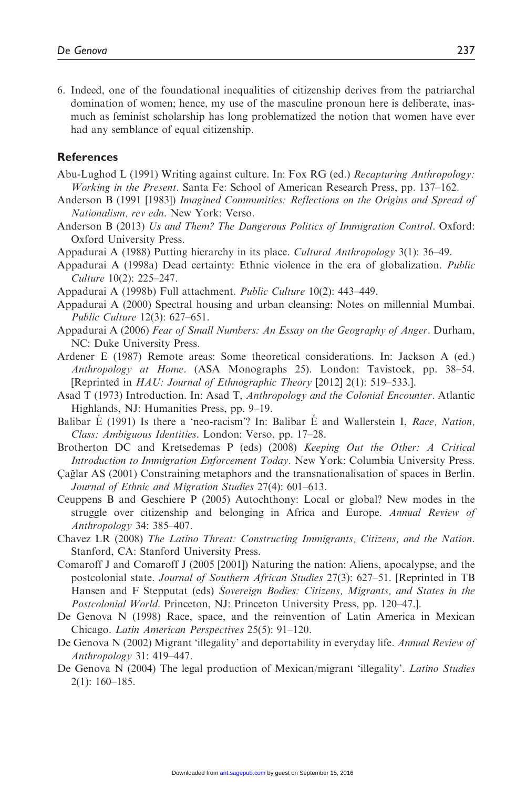6. Indeed, one of the foundational inequalities of citizenship derives from the patriarchal domination of women; hence, my use of the masculine pronoun here is deliberate, inasmuch as feminist scholarship has long problematized the notion that women have ever had any semblance of equal citizenship.

## References

- Abu-Lughod L (1991) Writing against culture. In: Fox RG (ed.) Recapturing Anthropology: Working in the Present. Santa Fe: School of American Research Press, pp. 137–162.
- Anderson B (1991 [1983]) Imagined Communities: Reflections on the Origins and Spread of Nationalism, rev edn. New York: Verso.
- Anderson B (2013) Us and Them? The Dangerous Politics of Immigration Control. Oxford: Oxford University Press.
- Appadurai A (1988) Putting hierarchy in its place. Cultural Anthropology 3(1): 36–49.
- Appadurai A (1998a) Dead certainty: Ethnic violence in the era of globalization. Public Culture 10(2): 225–247.
- Appadurai A (1998b) Full attachment. Public Culture 10(2): 443–449.
- Appadurai A (2000) Spectral housing and urban cleansing: Notes on millennial Mumbai. Public Culture 12(3): 627–651.
- Appadurai A (2006) Fear of Small Numbers: An Essay on the Geography of Anger. Durham, NC: Duke University Press.
- Ardener E (1987) Remote areas: Some theoretical considerations. In: Jackson A (ed.) Anthropology at Home. (ASA Monographs 25). London: Tavistock, pp. 38–54. [Reprinted in *HAU: Journal of Ethnographic Theory* [2012] 2(1): 519–533.].
- Asad T (1973) Introduction. In: Asad T, Anthropology and the Colonial Encounter. Atlantic Highlands, NJ: Humanities Press, pp. 9–19.
- Balibar E (1991) Is there a 'neo-racism'? In: Balibar E and Wallerstein I, Race, Nation, Class: Ambiguous Identities. London: Verso, pp. 17–28.
- Brotherton DC and Kretsedemas P (eds) (2008) Keeping Out the Other: A Critical Introduction to Immigration Enforcement Today. New York: Columbia University Press.
- Cağlar AS (2001) Constraining metaphors and the transnationalisation of spaces in Berlin. Journal of Ethnic and Migration Studies 27(4): 601–613.
- Ceuppens B and Geschiere P (2005) Autochthony: Local or global? New modes in the struggle over citizenship and belonging in Africa and Europe. Annual Review of Anthropology 34: 385–407.
- Chavez LR (2008) The Latino Threat: Constructing Immigrants, Citizens, and the Nation. Stanford, CA: Stanford University Press.
- Comaroff J and Comaroff J (2005 [2001]) Naturing the nation: Aliens, apocalypse, and the postcolonial state. Journal of Southern African Studies 27(3): 627–51. [Reprinted in TB Hansen and F Stepputat (eds) Sovereign Bodies: Citizens, Migrants, and States in the Postcolonial World. Princeton, NJ: Princeton University Press, pp. 120–47.].
- De Genova N (1998) Race, space, and the reinvention of Latin America in Mexican Chicago. Latin American Perspectives 25(5): 91–120.
- De Genova N (2002) Migrant 'illegality' and deportability in everyday life. Annual Review of Anthropology 31: 419–447.
- De Genova N (2004) The legal production of Mexican/migrant 'illegality'. Latino Studies 2(1): 160–185.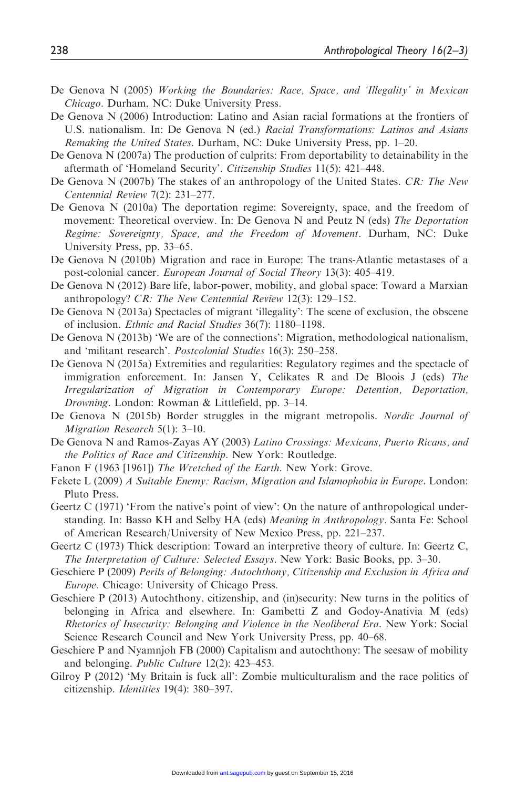- De Genova N (2005) Working the Boundaries: Race, Space, and 'Illegality' in Mexican Chicago. Durham, NC: Duke University Press.
- De Genova N (2006) Introduction: Latino and Asian racial formations at the frontiers of U.S. nationalism. In: De Genova N (ed.) Racial Transformations: Latinos and Asians Remaking the United States. Durham, NC: Duke University Press, pp. 1–20.
- De Genova N (2007a) The production of culprits: From deportability to detainability in the aftermath of 'Homeland Security'. Citizenship Studies 11(5): 421–448.
- De Genova N (2007b) The stakes of an anthropology of the United States. CR: The New Centennial Review 7(2): 231–277.
- De Genova N (2010a) The deportation regime: Sovereignty, space, and the freedom of movement: Theoretical overview. In: De Genova N and Peutz N (eds) The Deportation Regime: Sovereignty, Space, and the Freedom of Movement. Durham, NC: Duke University Press, pp. 33–65.
- De Genova N (2010b) Migration and race in Europe: The trans-Atlantic metastases of a post-colonial cancer. European Journal of Social Theory 13(3): 405–419.
- De Genova N (2012) Bare life, labor-power, mobility, and global space: Toward a Marxian anthropology? CR: The New Centennial Review 12(3): 129–152.
- De Genova N (2013a) Spectacles of migrant 'illegality': The scene of exclusion, the obscene of inclusion. Ethnic and Racial Studies 36(7): 1180–1198.
- De Genova N (2013b) 'We are of the connections': Migration, methodological nationalism, and 'militant research'. Postcolonial Studies 16(3): 250–258.
- De Genova N (2015a) Extremities and regularities: Regulatory regimes and the spectacle of immigration enforcement. In: Jansen Y, Celikates R and De Bloois J (eds) The Irregularization of Migration in Contemporary Europe: Detention, Deportation, Drowning. London: Rowman & Littlefield, pp. 3–14.
- De Genova N (2015b) Border struggles in the migrant metropolis. Nordic Journal of Migration Research 5(1): 3–10.
- De Genova N and Ramos-Zayas AY (2003) Latino Crossings: Mexicans, Puerto Ricans, and the Politics of Race and Citizenship. New York: Routledge.
- Fanon F (1963 [1961]) The Wretched of the Earth. New York: Grove.
- Fekete L (2009) A Suitable Enemy: Racism, Migration and Islamophobia in Europe. London: Pluto Press.
- Geertz C (1971) 'From the native's point of view': On the nature of anthropological understanding. In: Basso KH and Selby HA (eds) Meaning in Anthropology. Santa Fe: School of American Research/University of New Mexico Press, pp. 221–237.
- Geertz C (1973) Thick description: Toward an interpretive theory of culture. In: Geertz C, The Interpretation of Culture: Selected Essays. New York: Basic Books, pp. 3–30.
- Geschiere P (2009) Perils of Belonging: Autochthony, Citizenship and Exclusion in Africa and Europe. Chicago: University of Chicago Press.
- Geschiere P (2013) Autochthony, citizenship, and (in)security: New turns in the politics of belonging in Africa and elsewhere. In: Gambetti Z and Godoy-Anativia M (eds) Rhetorics of Insecurity: Belonging and Violence in the Neoliberal Era. New York: Social Science Research Council and New York University Press, pp. 40–68.
- Geschiere P and Nyamnjoh FB (2000) Capitalism and autochthony: The seesaw of mobility and belonging. Public Culture 12(2): 423–453.
- Gilroy P (2012) 'My Britain is fuck all': Zombie multiculturalism and the race politics of citizenship. Identities 19(4): 380–397.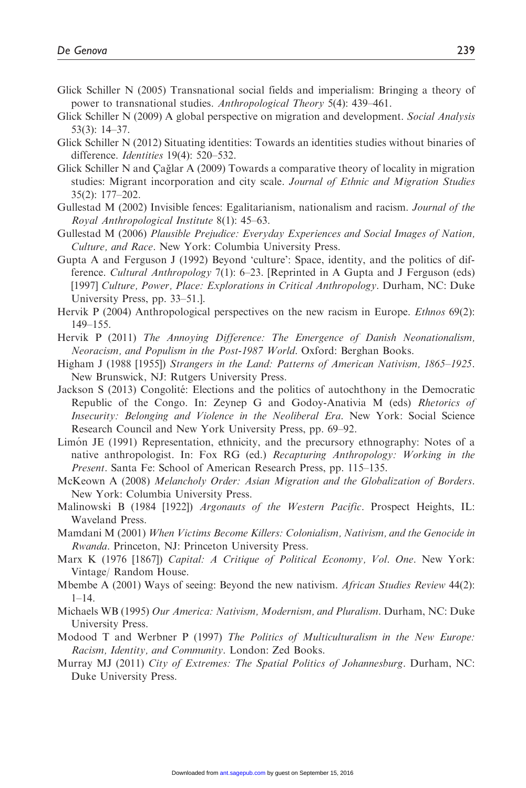- Glick Schiller N (2005) Transnational social fields and imperialism: Bringing a theory of power to transnational studies. Anthropological Theory 5(4): 439–461.
- Glick Schiller N (2009) A global perspective on migration and development. Social Analysis 53(3): 14–37.
- Glick Schiller N (2012) Situating identities: Towards an identities studies without binaries of difference. Identities 19(4): 520-532.
- Glick Schiller N and Cağlar A (2009) Towards a comparative theory of locality in migration studies: Migrant incorporation and city scale. Journal of Ethnic and Migration Studies 35(2): 177–202.
- Gullestad M (2002) Invisible fences: Egalitarianism, nationalism and racism. Journal of the Royal Anthropological Institute 8(1): 45–63.
- Gullestad M (2006) Plausible Prejudice: Everyday Experiences and Social Images of Nation, Culture, and Race. New York: Columbia University Press.
- Gupta A and Ferguson J (1992) Beyond 'culture': Space, identity, and the politics of difference. Cultural Anthropology 7(1): 6–23. [Reprinted in A Gupta and J Ferguson (eds) [1997] Culture, Power, Place: Explorations in Critical Anthropology. Durham, NC: Duke University Press, pp. 33–51.].
- Hervik P (2004) Anthropological perspectives on the new racism in Europe. *Ethnos* 69(2): 149–155.
- Hervik P (2011) The Annoying Difference: The Emergence of Danish Neonationalism, Neoracism, and Populism in the Post-1987 World. Oxford: Berghan Books.
- Higham J (1988 [1955]) Strangers in the Land: Patterns of American Nativism, 1865–1925. New Brunswick, NJ: Rutgers University Press.
- Jackson S (2013) Congolité: Elections and the politics of autochthony in the Democratic Republic of the Congo. In: Zeynep G and Godoy-Anativia M (eds) Rhetorics of Insecurity: Belonging and Violence in the Neoliberal Era. New York: Social Science Research Council and New York University Press, pp. 69–92.
- Limón JE (1991) Representation, ethnicity, and the precursory ethnography: Notes of a native anthropologist. In: Fox RG (ed.) Recapturing Anthropology: Working in the Present. Santa Fe: School of American Research Press, pp. 115–135.
- McKeown A (2008) Melancholy Order: Asian Migration and the Globalization of Borders. New York: Columbia University Press.
- Malinowski B (1984 [1922]) Argonauts of the Western Pacific. Prospect Heights, IL: Waveland Press.
- Mamdani M (2001) When Victims Become Killers: Colonialism, Nativism, and the Genocide in Rwanda. Princeton, NJ: Princeton University Press.
- Marx K (1976 [1867]) Capital: A Critique of Political Economy, Vol. One. New York: Vintage/ Random House.
- Mbembe A (2001) Ways of seeing: Beyond the new nativism. African Studies Review 44(2): 1–14.
- Michaels WB (1995) Our America: Nativism, Modernism, and Pluralism. Durham, NC: Duke University Press.
- Modood T and Werbner P (1997) The Politics of Multiculturalism in the New Europe: Racism, Identity, and Community. London: Zed Books.
- Murray MJ (2011) City of Extremes: The Spatial Politics of Johannesburg. Durham, NC: Duke University Press.